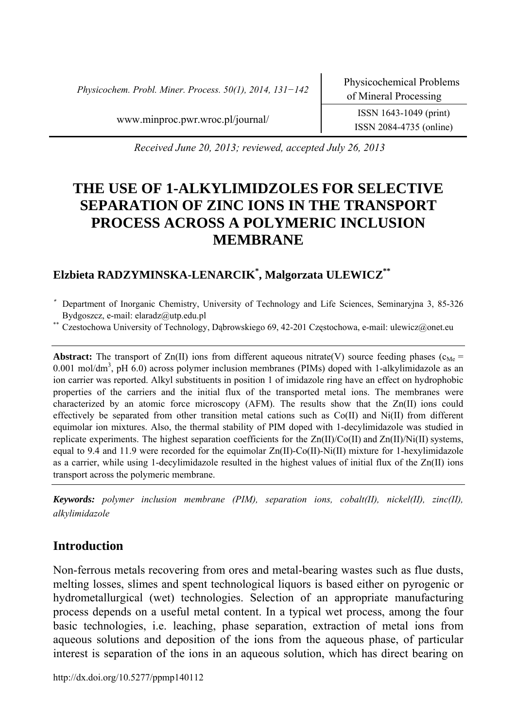*Physicochem. Probl. Miner. Process. 50(1), 2014, 131−142* Physicochemical Problems

ISSN 2084-4735 (online)

www.minproc.pwr.wroc.pl/journal/ ISSN 1643-1049 (print)

 *Received June 20, 2013; reviewed, accepted July 26, 2013* 

# **THE USE OF 1-ALKYLIMIDZOLES FOR SELECTIVE SEPARATION OF ZINC IONS IN THE TRANSPORT PROCESS ACROSS A POLYMERIC INCLUSION MEMBRANE**

# **Elzbieta RADZYMINSKA-LENARCIK\* , Malgorzata ULEWICZ\*\***

- <sup>∗</sup> Department of Inorganic Chemistry, University of Technology and Life Sciences, Seminaryjna 3, 85-326 Bydgoszcz, e-mail: elaradz@utp.edu.pl<br>\* Czestochowa University of Technology, Dąbrowskiego 69, 42-201 Częstochowa, e-mail: ulewicz@onet.eu
- 

**Abstract:** The transport of  $Zn(\text{II})$  ions from different aqueous nitrate(V) source feeding phases ( $c_{\text{Me}}$  =  $0.001 \text{ mol/dm}^3$ , pH  $6.0$ ) across polymer inclusion membranes (PIMs) doped with 1-alkylimidazole as an ion carrier was reported. Alkyl substituents in position 1 of imidazole ring have an effect on hydrophobic properties of the carriers and the initial flux of the transported metal ions. The membranes were characterized by an atomic force microscopy (AFM). The results show that the Zn(II) ions could effectively be separated from other transition metal cations such as Co(II) and Ni(II) from different equimolar ion mixtures. Also, the thermal stability of PIM doped with 1-decylimidazole was studied in replicate experiments. The highest separation coefficients for the  $Zn(II)/Co(II)$  and  $Zn(II)/Ni(II)$  systems, equal to 9.4 and 11.9 were recorded for the equimolar  $Zn(II)-Co(II)-Ni(II)$  mixture for 1-hexylimidazole as a carrier, while using 1-decylimidazole resulted in the highest values of initial flux of the Zn(II) ions transport across the polymeric membrane.

*Keywords: polymer inclusion membrane (PIM), separation ions, cobalt(II), nickel(II), zinc(II), alkylimidazole* 

# **Introduction**

Non-ferrous metals recovering from ores and metal-bearing wastes such as flue dusts, melting losses, slimes and spent technological liquors is based either on pyrogenic or hydrometallurgical (wet) technologies. Selection of an appropriate manufacturing process depends on a useful metal content. In a typical wet process, among the four basic technologies, i.e. leaching, phase separation, extraction of metal ions from aqueous solutions and deposition of the ions from the aqueous phase, of particular interest is separation of the ions in an aqueous solution, which has direct bearing on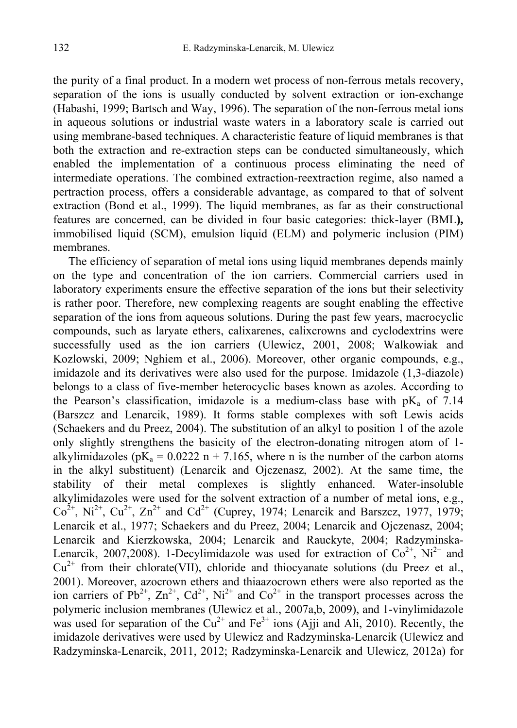the purity of a final product. In a modern wet process of non-ferrous metals recovery, separation of the ions is usually conducted by solvent extraction or ion-exchange (Habashi, 1999; Bartsch and Way, 1996). The separation of the non-ferrous metal ions in aqueous solutions or industrial waste waters in a laboratory scale is carried out using membrane-based techniques. A characteristic feature of liquid membranes is that both the extraction and re-extraction steps can be conducted simultaneously, which enabled the implementation of a continuous process eliminating the need of intermediate operations. The combined extraction-reextraction regime, also named a pertraction process, offers a considerable advantage, as compared to that of solvent extraction (Bond et al., 1999). The liquid membranes, as far as their constructional features are concerned, can be divided in four basic categories: thick-layer (BML**),**  immobilised liquid (SCM), emulsion liquid (ELM) and polymeric inclusion (PIM) membranes.

The efficiency of separation of metal ions using liquid membranes depends mainly on the type and concentration of the ion carriers. Commercial carriers used in laboratory experiments ensure the effective separation of the ions but their selectivity is rather poor. Therefore, new complexing reagents are sought enabling the effective separation of the ions from aqueous solutions. During the past few years, macrocyclic compounds, such as laryate ethers, calixarenes, calixcrowns and cyclodextrins were successfully used as the ion carriers (Ulewicz, 2001, 2008; Walkowiak and Kozlowski, 2009; Nghiem et al., 2006). Moreover, other organic compounds, e.g., imidazole and its derivatives were also used for the purpose. Imidazole (1,3-diazole) belongs to a class of five-member heterocyclic bases known as azoles. According to the Pearson's classification, imidazole is a medium-class base with  $pK_a$  of 7.14 (Barszcz and Lenarcik, 1989). It forms stable complexes with soft Lewis acids (Schaekers and du Preez, 2004). The substitution of an alkyl to position 1 of the azole only slightly strengthens the basicity of the electron-donating nitrogen atom of 1 alkylimidazoles ( $pK_a = 0.0222$  n + 7.165, where n is the number of the carbon atoms in the alkyl substituent) (Lenarcik and Ojczenasz, 2002). At the same time, the stability of their metal complexes is slightly enhanced. Water-insoluble alkylimidazoles were used for the solvent extraction of a number of metal ions, e.g.,  $Co^{2+}$ , Ni<sup>2+</sup>, Cu<sup>2+</sup>, Zn<sup>2+</sup> and Cd<sup>2+</sup> (Cuprey, 1974; Lenarcik and Barszcz, 1977, 1979; Lenarcik et al., 1977; Schaekers and du Preez, 2004; Lenarcik and Ojczenasz, 2004; Lenarcik and Kierzkowska, 2004; Lenarcik and Rauckyte, 2004; Radzyminska-Lenarcik, 2007, 2008). 1-Decylimidazole was used for extraction of  $Co^{2+}$ ,  $Ni^{2+}$  and  $Cu^{2+}$  from their chlorate(VII), chloride and thiocyanate solutions (du Preez et al., 2001). Moreover, azocrown ethers and thiaazocrown ethers were also reported as the ion carriers of  $Pb^{2+}$ ,  $Zn^{2+}$ ,  $Cd^{2+}$ ,  $Ni^{2+}$  and  $Co^{2+}$  in the transport processes across the polymeric inclusion membranes (Ulewicz et al., 2007a,b, 2009), and 1-vinylimidazole was used for separation of the  $Cu^{2+}$  and  $Fe^{3+}$  ions (Ajji and Ali, 2010). Recently, the imidazole derivatives were used by Ulewicz and Radzyminska-Lenarcik (Ulewicz and Radzyminska-Lenarcik, 2011, 2012; Radzyminska-Lenarcik and Ulewicz, 2012a) for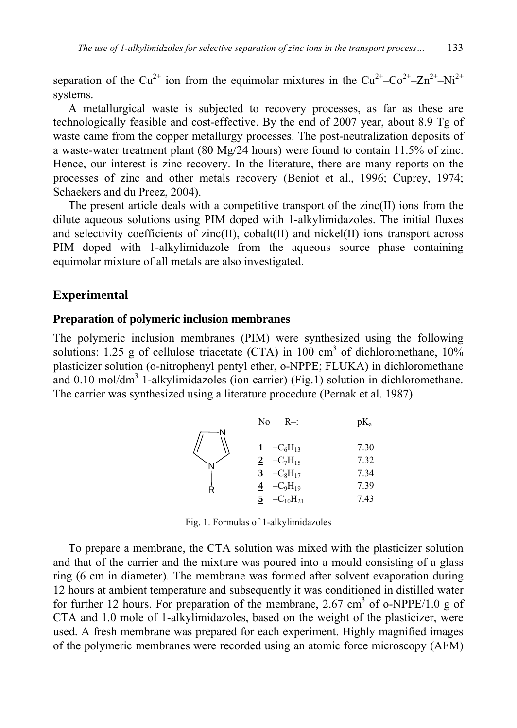separation of the Cu<sup>2+</sup> ion from the equimolar mixtures in the Cu<sup>2+</sup>–Co<sup>2+</sup>–Zn<sup>2+</sup>–Ni<sup>2+</sup> systems.

A metallurgical waste is subjected to recovery processes, as far as these are technologically feasible and cost-effective. By the end of 2007 year, about 8.9 Tg of waste came from the copper metallurgy processes. The post-neutralization deposits of a waste-water treatment plant (80 Mg/24 hours) were found to contain 11.5% of zinc. Hence, our interest is zinc recovery. In the literature, there are many reports on the processes of zinc and other metals recovery (Beniot et al., 1996; Cuprey, 1974; Schaekers and du Preez, 2004).

The present article deals with a competitive transport of the zinc(II) ions from the dilute aqueous solutions using PIM doped with 1-alkylimidazoles. The initial fluxes and selectivity coefficients of zinc(II), cobalt(II) and nickel(II) ions transport across PIM doped with 1-alkylimidazole from the aqueous source phase containing equimolar mixture of all metals are also investigated.

## **Experimental**

#### **Preparation of polymeric inclusion membranes**

The polymeric inclusion membranes (PIM) were synthesized using the following solutions: 1.25 g of cellulose triacetate (CTA) in 100 cm<sup>3</sup> of dichloromethane,  $10\%$ plasticizer solution (o-nitrophenyl pentyl ether, o-NPPE; FLUKA) in dichloromethane and  $0.10 \text{ mol/dm}^3$  1-alkylimidazoles (ion carrier) (Fig.1) solution in dichloromethane. The carrier was synthesized using a literature procedure (Pernak et al. 1987).

|   | No<br>$R-$           | pK <sub>a</sub> |
|---|----------------------|-----------------|
|   | $-C_6H_{13}$         | 7.30            |
|   | $-C_7H_{15}$         | 7.32            |
|   | $-C_8H_{17}$<br>3    | 7.34            |
| Ŕ | $-C_9H_{19}$         | 7.39            |
|   | $-C_{10}H_{21}$<br>5 | 7.43            |

Fig. 1. Formulas of 1-alkylimidazoles

To prepare a membrane, the CTA solution was mixed with the plasticizer solution and that of the carrier and the mixture was poured into a mould consisting of a glass ring (6 cm in diameter). The membrane was formed after solvent evaporation during 12 hours at ambient temperature and subsequently it was conditioned in distilled water for further 12 hours. For preparation of the membrane, 2.67 cm<sup>3</sup> of o-NPPE/1.0 g of CTA and 1.0 mole of 1-alkylimidazoles, based on the weight of the plasticizer, were used. A fresh membrane was prepared for each experiment. Highly magnified images of the polymeric membranes were recorded using an atomic force microscopy (AFM)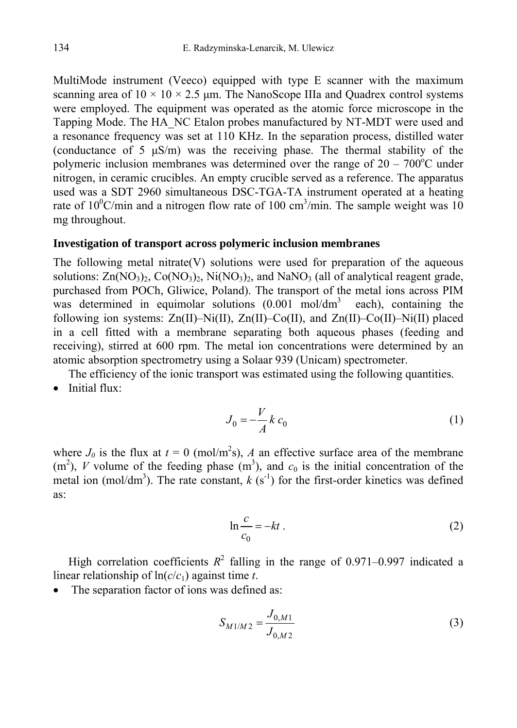MultiMode instrument (Veeco) equipped with type E scanner with the maximum scanning area of  $10 \times 10 \times 2.5$  µm. The NanoScope IIIa and Ouadrex control systems were employed. The equipment was operated as the atomic force microscope in the Tapping Mode. The HA\_NC Etalon probes manufactured by NT-MDT were used and a resonance frequency was set at 110 KHz. In the separation process, distilled water (conductance of 5 µS/m) was the receiving phase. The thermal stability of the polymeric inclusion membranes was determined over the range of  $20 - 700^{\circ}$ C under nitrogen, in ceramic crucibles. An empty crucible served as a reference. The apparatus used was a SDT 2960 simultaneous DSC-TGA-TA instrument operated at a heating rate of  $10^{\circ}$ C/min and a nitrogen flow rate of 100 cm<sup>3</sup>/min. The sample weight was 10 mg throughout.

#### **Investigation of transport across polymeric inclusion membranes**

The following metal nitrate(V) solutions were used for preparation of the aqueous solutions:  $\text{Zn}(\text{NO}_3)_2$ ,  $\text{Co}(\text{NO}_3)_2$ ,  $\text{Ni}(\text{NO}_3)_2$ , and  $\text{Na}(\text{NO}_3)$  (all of analytical reagent grade, purchased from POCh, Gliwice, Poland). The transport of the metal ions across PIM was determined in equimolar solutions  $(0.001 \text{ mol/dm}^3$  each), containing the following ion systems: Zn(II)–Ni(II), Zn(II)–Co(II), and Zn(II)–Co(II)–Ni(II) placed in a cell fitted with a membrane separating both aqueous phases (feeding and receiving), stirred at 600 rpm. The metal ion concentrations were determined by an atomic absorption spectrometry using a Solaar 939 (Unicam) spectrometer.

The efficiency of the ionic transport was estimated using the following quantities. • Initial flux:

$$
J_0 = -\frac{V}{A} k c_0 \tag{1}
$$

where  $J_0$  is the flux at  $t = 0$  (mol/m<sup>2</sup>s), *A* an effective surface area of the membrane  $(m<sup>2</sup>)$ , *V* volume of the feeding phase  $(m<sup>3</sup>)$ , and  $c<sub>0</sub>$  is the initial concentration of the metal ion (mol/dm<sup>3</sup>). The rate constant,  $k$  (s<sup>-1</sup>) for the first-order kinetics was defined as:

$$
\ln \frac{c}{c_0} = -kt \tag{2}
$$

High correlation coefficients  $R^2$  falling in the range of 0.971–0.997 indicated a linear relationship of ln(*c*/*c*1) against time *t*.

• The separation factor of ions was defined as:

$$
S_{M1/M2} = \frac{J_{0,M1}}{J_{0,M2}}
$$
 (3)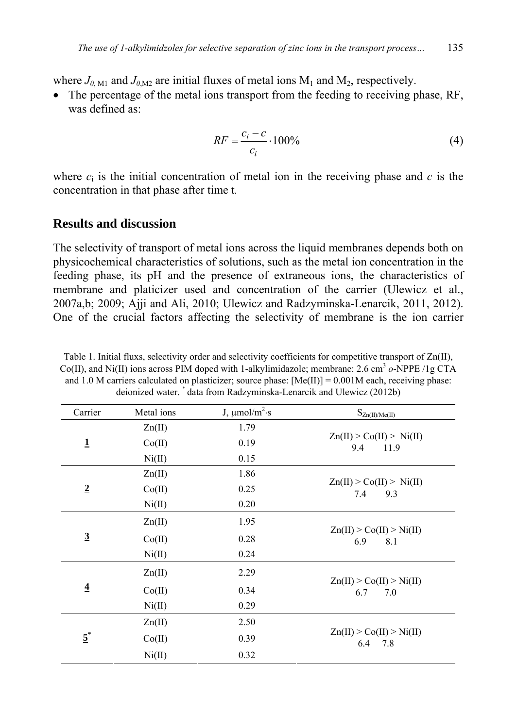where  $J_{0, \text{M1}}$  and  $J_{0, \text{M2}}$  are initial fluxes of metal ions  $M_1$  and  $M_2$ , respectively.

The percentage of the metal ions transport from the feeding to receiving phase, RF, was defined as:

$$
RF = \frac{c_i - c}{c_i} \cdot 100\%
$$
 (4)

where  $c_i$  is the initial concentration of metal ion in the receiving phase and  $c$  is the concentration in that phase after time t*.*

## **Results and discussion**

The selectivity of transport of metal ions across the liquid membranes depends both on physicochemical characteristics of solutions, such as the metal ion concentration in the feeding phase, its pH and the presence of extraneous ions, the characteristics of membrane and platicizer used and concentration of the carrier (Ulewicz et al., 2007a,b; 2009; Ajji and Ali, 2010; Ulewicz and Radzyminska-Lenarcik, 2011, 2012). One of the crucial factors affecting the selectivity of membrane is the ion carrier

| Carrier           | Metal ions | J, $\mu$ mol/m <sup>2</sup> ·s | $S_{Zn(II)/Me(II)}$                                           |  |
|-------------------|------------|--------------------------------|---------------------------------------------------------------|--|
| $\mathbf{1}$      | Zn(II)     | 1.79                           | Zn(II) > Co(II) > Ni(II)<br>9.4<br>11.9                       |  |
|                   | Co(II)     | 0.19                           |                                                               |  |
|                   | Ni(II)     | 0.15                           |                                                               |  |
| $\overline{2}$    | Zn(II)     | 1.86                           | $\text{Zn(II)} > \text{Co(II)} > \text{Ni(II)}$<br>7.4<br>9.3 |  |
|                   | Co(II)     | 0.25                           |                                                               |  |
|                   | Ni(II)     | 0.20                           |                                                               |  |
| $\overline{3}$    | Zn(II)     | 1.95                           | $\text{Zn(II)} > \text{Co(II)} > \text{Ni(II)}$<br>6.9<br>8.1 |  |
|                   | Co(II)     | 0.28                           |                                                               |  |
|                   | Ni(II)     | 0.24                           |                                                               |  |
| $\overline{4}$    | Zn(II)     | 2.29                           |                                                               |  |
|                   | Co(II)     | 0.34                           | Zn(II) > Co(II) > Ni(II)<br>6.7<br>7.0                        |  |
|                   | Ni(II)     | 0.29                           |                                                               |  |
| $\underline{5}^*$ | Zn(II)     | 2.50                           |                                                               |  |
|                   | Co(II)     | 0.39                           | Zn(II) > Co(II) > Ni(II)<br>6.4 7.8                           |  |
|                   | Ni(II)     | 0.32                           |                                                               |  |

Table 1. Initial fluxs, selectivity order and selectivity coefficients for competitive transport of Zn(II),  $Co(II)$ , and Ni $(II)$  ions across PIM doped with 1-alkylimidazole; membrane: 2.6 cm<sup>3</sup>  $o$ -NPPE /1g CTA and 1.0 M carriers calculated on plasticizer; source phase:  $[Me(II)] = 0.001M$  each, receiving phase: deionized water. \* data from Radzyminska-Lenarcik and Ulewicz (2012b)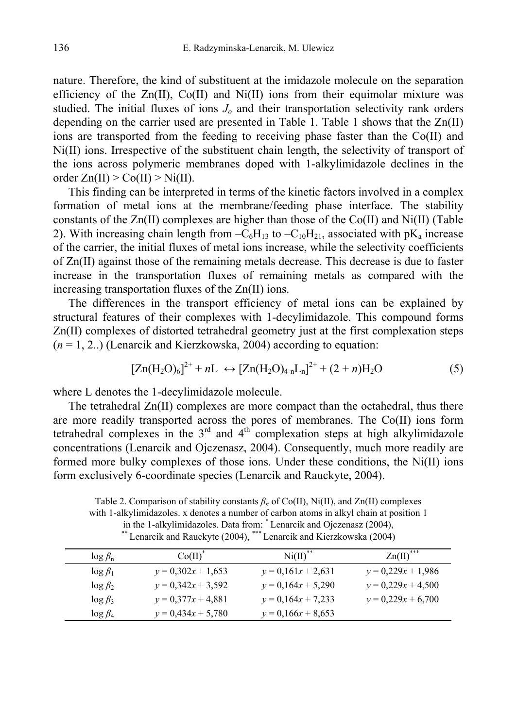nature. Therefore, the kind of substituent at the imidazole molecule on the separation efficiency of the  $Zn(II)$ ,  $Co(II)$  and  $Ni(II)$  ions from their equimolar mixture was studied. The initial fluxes of ions  $J<sub>o</sub>$  and their transportation selectivity rank orders depending on the carrier used are presented in Table 1. Table 1 shows that the  $Zn(II)$ ions are transported from the feeding to receiving phase faster than the Co(II) and Ni(II) ions. Irrespective of the substituent chain length, the selectivity of transport of the ions across polymeric membranes doped with 1-alkylimidazole declines in the order  $Zn(II) > Co(II) > Ni(II)$ .

This finding can be interpreted in terms of the kinetic factors involved in a complex formation of metal ions at the membrane/feeding phase interface. The stability constants of the  $Zn(II)$  complexes are higher than those of the Co(II) and Ni(II) (Table 2). With increasing chain length from  $-C_6H_{13}$  to  $-C_{10}H_{21}$ , associated with pK<sub>a</sub> increase of the carrier, the initial fluxes of metal ions increase, while the selectivity coefficients of Zn(II) against those of the remaining metals decrease. This decrease is due to faster increase in the transportation fluxes of remaining metals as compared with the increasing transportation fluxes of the Zn(II) ions.

The differences in the transport efficiency of metal ions can be explained by structural features of their complexes with 1-decylimidazole. This compound forms Zn(II) complexes of distorted tetrahedral geometry just at the first complexation steps (*n* = 1, 2..) (Lenarcik and Kierzkowska, 2004) according to equation:

$$
[Zn(H_2O)_6]^{2+} + nL \leftrightarrow [Zn(H_2O)_{4-n}L_n]^{2+} + (2+n)H_2O \tag{5}
$$

where L denotes the 1-decylimidazole molecule.

The tetrahedral Zn(II) complexes are more compact than the octahedral, thus there are more readily transported across the pores of membranes. The Co(II) ions form tetrahedral complexes in the  $3<sup>rd</sup>$  and  $4<sup>th</sup>$  complexation steps at high alkylimidazole concentrations (Lenarcik and Ojczenasz, 2004). Consequently, much more readily are formed more bulky complexes of those ions. Under these conditions, the Ni(II) ions form exclusively 6-coordinate species (Lenarcik and Rauckyte, 2004).

Table 2. Comparison of stability constants *βn* of Co(II), Ni(II), and Zn(II) complexes with 1-alkylimidazoles. x denotes a number of carbon atoms in alkyl chain at position 1 in the 1-alkylimidazoles. Data from:  $*$  Lenarcik and Ojczenasz (2004),  $\stackrel{\text{max}}{=}$  Lenarcik and Rauckyte (2004),  $\stackrel{\text{max}}{=}$  Lenarcik and Kierzkowska (2004)

| $\log \beta_n$ | Co(II)               | Ni(II)               | $\text{Zn(II)}^{***}$ |
|----------------|----------------------|----------------------|-----------------------|
| $\log \beta_1$ | $y = 0,302x + 1,653$ | $y = 0.161x + 2.631$ | $y = 0,229x + 1,986$  |
| $\log \beta_2$ | $y = 0,342x + 3,592$ | $y = 0.164x + 5.290$ | $y = 0,229x + 4,500$  |
| $\log \beta_3$ | $y = 0.377x + 4.881$ | $y = 0.164x + 7.233$ | $y = 0,229x + 6,700$  |
| $\log \beta_4$ | $v = 0.434x + 5.780$ | $y = 0.166x + 8.653$ |                       |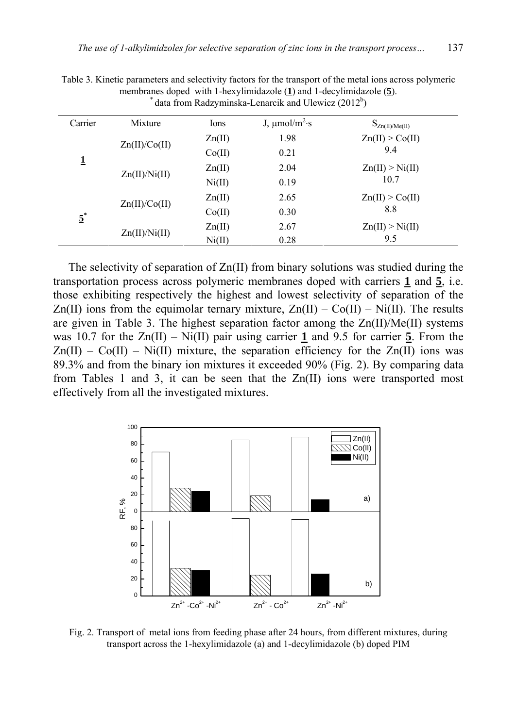| $\frac{1}{2}$    |               |                 |                                |                                 |  |  |
|------------------|---------------|-----------------|--------------------------------|---------------------------------|--|--|
| Carrier          | Mixture       | Ions            | J, $\mu$ mol/m <sup>2</sup> ·s | $S_{Zn(II)/Me(II)}$             |  |  |
| 1                | Zn(II)/Co(II) | $\text{Zn(II)}$ | 1.98                           | $\text{Zn}(II) > \text{Co}(II)$ |  |  |
|                  |               | Co(II)          | 0.21                           | 9.4                             |  |  |
|                  | Zn(II)/Ni(II) | Zn(II)          | 2.04                           | $\text{Zn(II)} > \text{Ni(II)}$ |  |  |
|                  |               | Ni(II)          | 0.19                           | 10.7                            |  |  |
| $\overline{5}^*$ |               | $\text{Zn(II)}$ | 2.65                           | Zn(II) > Co(II)                 |  |  |
|                  | Zn(II)/Co(II) | Co(II)          | 0.30                           | 8.8                             |  |  |
|                  | Zn(II)/Ni(II) | Zn(II)          | 2.67                           | Zn(II) > Ni(II)                 |  |  |
|                  |               | Ni(II)          | 0.28                           | 9.5                             |  |  |

Table 3. Kinetic parameters and selectivity factors for the transport of the metal ions across polymeric membranes doped with 1-hexylimidazole  $(1)$  and 1-decylimidazole  $(5)$ .  $^*$  data from Radzyminska-Lenarcik and Ulewicz (2012<sup>b</sup>)

The selectivity of separation of Zn(II) from binary solutions was studied during the transportation process across polymeric membranes doped with carriers **1** and **5**, i.e. those exhibiting respectively the highest and lowest selectivity of separation of the Zn(II) ions from the equimolar ternary mixture,  $Zn(II) - Co(II) - Ni(II)$ . The results are given in Table 3. The highest separation factor among the Zn(II)/Me(II) systems was 10.7 for the Zn(II) – Ni(II) pair using carrier **1** and 9.5 for carrier **5**. From the  $Zn(II) - Co(II) - Ni(II)$  mixture, the separation efficiency for the  $Zn(II)$  ions was 89.3% and from the binary ion mixtures it exceeded 90% (Fig. 2). By comparing data from Tables 1 and 3, it can be seen that the Zn(II) ions were transported most effectively from all the investigated mixtures.



Fig. 2. Transport of metal ions from feeding phase after 24 hours, from different mixtures, during transport across the 1-hexylimidazole (a) and 1-decylimidazole (b) doped PIM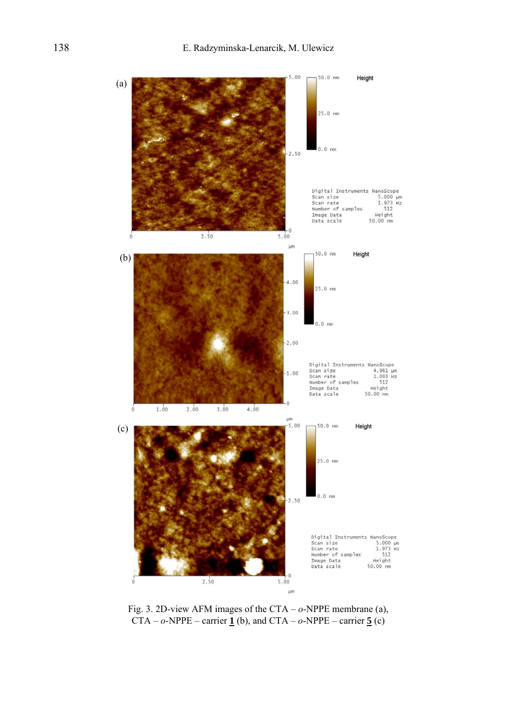

Fig. 3. 2D-view AFM images of the CTA – *o*-NPPE membrane (a), CTA –  $o$ -NPPE – carrier  $\underline{\mathbf{1}}$  (b), and CTA –  $o$ -NPPE – carrier  $\underline{\mathbf{5}}$  (c)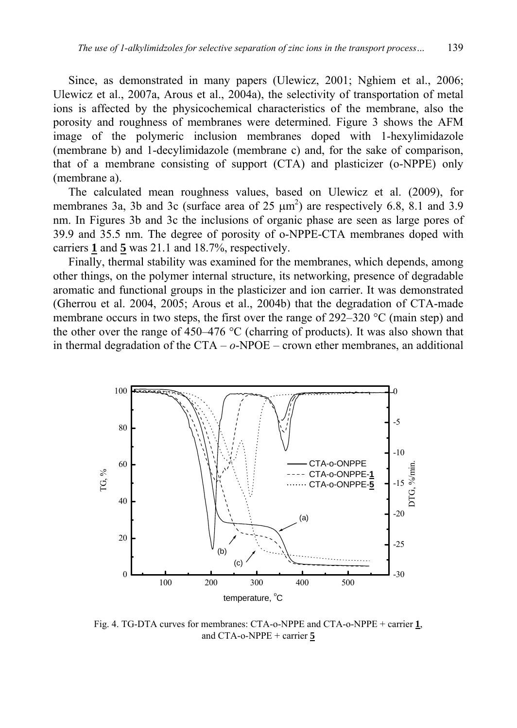Since, as demonstrated in many papers (Ulewicz, 2001; Nghiem et al., 2006; Ulewicz et al., 2007a, Arous et al., 2004a), the selectivity of transportation of metal ions is affected by the physicochemical characteristics of the membrane, also the porosity and roughness of membranes were determined. Figure 3 shows the AFM image of the polymeric inclusion membranes doped with 1-hexylimidazole (membrane b) and 1-decylimidazole (membrane c) and, for the sake of comparison, that of a membrane consisting of support (CTA) and plasticizer (o-NPPE) only (membrane a).

The calculated mean roughness values, based on Ulewicz et al. (2009), for membranes 3a, 3b and 3c (surface area of 25  $\mu$ m<sup>2</sup>) are respectively 6.8, 8.1 and 3.9 nm. In Figures 3b and 3c the inclusions of organic phase are seen as large pores of 39.9 and 35.5 nm. The degree of porosity of o-NPPE-CTA membranes doped with carriers **1** and **5** was 21.1 and 18.7%, respectively.

Finally, thermal stability was examined for the membranes, which depends, among other things, on the polymer internal structure, its networking, presence of degradable aromatic and functional groups in the plasticizer and ion carrier. It was demonstrated (Gherrou et al. 2004, 2005; Arous et al., 2004b) that the degradation of CTA-made membrane occurs in two steps, the first over the range of 292–320 °C (main step) and the other over the range of 450–476 °C (charring of products). It was also shown that in thermal degradation of the CTA – *o*-NPOE – crown ether membranes, an additional



Fig. 4. TG-DTA curves for membranes: CTA-o-NPPE and CTA-o-NPPE + carrier **1**, and CTA-o-NPPE + carrier **5**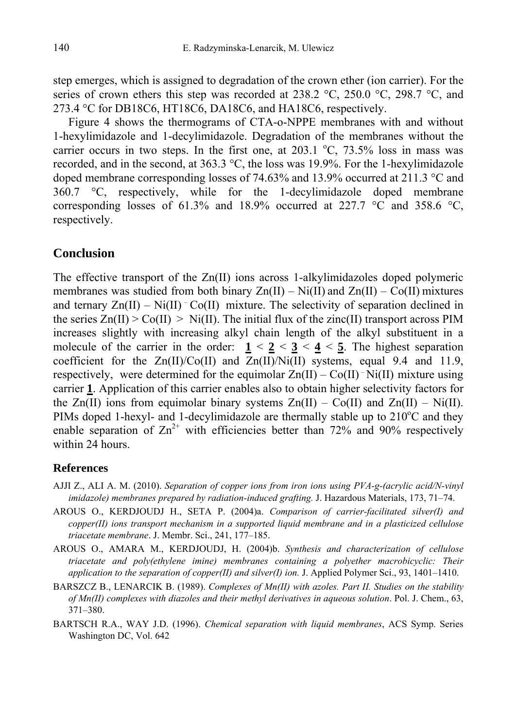step emerges, which is assigned to degradation of the crown ether (ion carrier). For the series of crown ethers this step was recorded at 238.2  $\degree$ C, 250.0  $\degree$ C, 298.7  $\degree$ C, and 273.4 °C for DB18C6, HT18C6, DA18C6, and HA18C6, respectively.

Figure 4 shows the thermograms of CTA-o-NPPE membranes with and without 1-hexylimidazole and 1-decylimidazole. Degradation of the membranes without the carrier occurs in two steps. In the first one, at  $203.1 \text{ °C}$ ,  $73.5\%$  loss in mass was recorded, and in the second, at  $363.3 \degree C$ , the loss was 19.9%. For the 1-hexylimidazole doped membrane corresponding losses of 74.63% and 13.9% occurred at 211.3 °C and 360.7 °C, respectively, while for the 1-decylimidazole doped membrane corresponding losses of 61.3% and 18.9% occurred at 227.7  $\degree$ C and 358.6  $\degree$ C, respectively.

## **Conclusion**

The effective transport of the Zn(II) ions across 1-alkylimidazoles doped polymeric membranes was studied from both binary  $Zn(II) - Ni(II)$  and  $Zn(II) - Co(II)$  mixtures and ternary  $Zn(II) - Ni(II)$ <sup>-</sup> Co(II) mixture. The selectivity of separation declined in the series  $Zn(II) > Co(II) > Ni(II)$ . The initial flux of the zinc(II) transport across PIM increases slightly with increasing alkyl chain length of the alkyl substituent in a molecule of the carrier in the order:  $1 \le 2 \le 3 \le 4 \le 5$ . The highest separation coefficient for the  $Zn(II)/Co(II)$  and  $Zn(II)/Ni(II)$  systems, equal 9.4 and 11.9, respectively, were determined for the equimolar  $Zn(II) - Co(II)^{-}Ni(II)$  mixture using carrier **1**. Application of this carrier enables also to obtain higher selectivity factors for the  $Zn(II)$  ions from equimolar binary systems  $Zn(II) - Co(II)$  and  $Zn(II) - Ni(II)$ . PIMs doped 1-hexyl- and 1-decylimidazole are thermally stable up to  $210^{\circ}$ C and they enable separation of  $\text{Zn}^{2+}$  with efficiencies better than 72% and 90% respectively within 24 hours.

## **References**

- AJJI Z., ALI A. M. (2010). *Separation of copper ions from iron ions using PVA-g-(acrylic acid/N-vinyl imidazole) membranes prepared by radiation-induced grafting.* J. Hazardous Materials, 173, 71–74.
- AROUS O., KERDJOUDJ H., SETA P. (2004)a. *Comparison of carrier-facilitated silver(I) and copper(II) ions transport mechanism in a supported liquid membrane and in a plasticized cellulose triacetate membrane*. J. Membr. Sci., 241, 177–185.
- AROUS O., AMARA M., KERDJOUDJ, H. (2004)b. *Synthesis and characterization of cellulose triacetate and poly(ethylene imine) membranes containing a polyether macrobicyclic: Their application to the separation of copper(II) and silver(I) ion.* J. Applied Polymer Sci., 93, 1401–1410.
- BARSZCZ B., LENARCIK B. (1989). *Complexes of Mn(II) with azoles. Part II. Studies on the stability of Mn(II) complexes with diazoles and their methyl derivatives in aqueous solution*. Pol. J. Chem., 63, 371–380.
- BARTSCH R.A., WAY J.D. (1996). *Chemical separation with liquid membranes*, ACS Symp. Series Washington DC, Vol. 642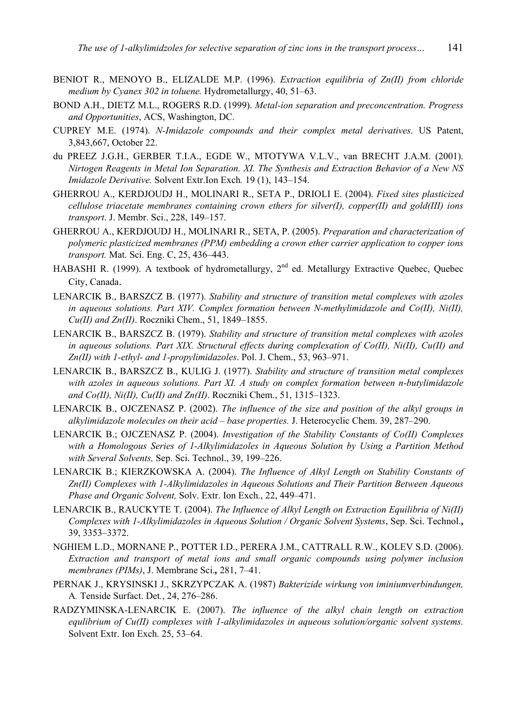- BENIOT R., MENOYO B., ELIZALDE M.P. (1996). *Extraction equilibria of Zn(II) from chloride medium by Cyanex 302 in toluene.* Hydrometallurgy, 40, 51–63.
- BOND A.H., DIETZ M.L., ROGERS R.D. (1999). *Metal-ion separation and preconcentration. Progress and Opportunities*, ACS, Washington, DC.
- CUPREY M.E. (1974). *N-Imidazole compounds and their complex metal derivatives*. US Patent, 3,843,667, October 22.
- du PREEZ J.G.H., GERBER T.I.A., EGDE W., MTOTYWA V.L.V., van BRECHT J.A.M. (2001). *Nirtogen Reagents in Metal Ion Separation. XI. The Synthesis and Extraction Behavior of a New NS Imidazole Derivative.* Solvent Extr.Ion Exch*.* 19 (1), 143–154.
- GHERROU A., KERDJOUDJ H., MOLINARI R., SETA P., DRIOLI E. (2004). *Fixed sites plasticized cellulose triacetate membranes containing crown ethers for silver(I), copper(II) and gold(III) ions transport*. J. Membr. Sci., 228, 149–157.
- GHERROU A., KERDJOUDJ H., MOLINARI R., SETA, P. (2005). *Preparation and characterization of polymeric plasticized membranes (PPM) embedding a crown ether carrier application to copper ions transport.* Mat. Sci. Eng. C, 25, 436–443.
- HABASHI R. (1999). A textbook of hydrometallurgy, 2<sup>nd</sup> ed. Metallurgy Extractive Quebec, Quebec City, Canada.
- LENARCIK B., BARSZCZ B. (1977). *Stability and structure of transition metal complexes with azoles in aqueous solutions. Part XIV. Complex formation between N-methylimidazole and Co(II), Ni(II), Cu(II) and Zn(II)*. Roczniki Chem., 51, 1849–1855.
- LENARCIK B., BARSZCZ B. (1979). *Stability and structure of transition metal complexes with azoles in aqueous solutions. Part XIX. Structural effects during complexation of Co(II), Ni(II), Cu(II) and Zn(II) with 1-ethyl- and 1-propylimidazoles*. Pol. J. Chem., 53, 963–971.
- LENARCIK B., BARSZCZ B., KULIG J. (1977). *Stability and structure of transition metal complexes with azoles in aqueous solutions. Part XI. A study on complex formation between n-butylimidazole and Co(II), Ni(II), Cu(II) and Zn(II)*. Roczniki Chem., 51, 1315–1323.
- LENARCIK B., OJCZENASZ P. (2002). *The influence of the size and position of the alkyl groups in alkylimidazole molecules on their acid – base properties.* J. Heterocyclic Chem. 39, 287–290.
- LENARCIK B.; OJCZENASZ P. (2004). *Investigation of the Stability Constants of Co(II) Complexes with a Homologous Series of 1-Alkylimidazoles in Aqueous Solution by Using a Partition Method with Several Solvents,* Sep. Sci. Technol., 39, 199–226.
- LENARCIK B.; KIERZKOWSKA A. (2004). *The Influence of Alkyl Length on Stability Constants of Zn(II) Complexes with 1-Alkylimidazoles in Aqueous Solutions and Their Partition Between Aqueous Phase and Organic Solvent,* Solv. Extr. Ion Exch., 22, 449–471.
- LENARCIK B., RAUCKYTE T. (2004). *The Influence of Alkyl Length on Extraction Equilibria of Ni(II) Complexes with 1-Alkylimidazoles in Aqueous Solution / Organic Solvent Systems*, Sep. Sci. Technol.**,** 39, 3353–3372.
- NGHIEM L.D., MORNANE P., POTTER I.D., PERERA J.M., CATTRALL R.W., KOLEV S.D. (2006). *Extraction and transport of metal ions and small organic compounds using polymer inclusion membranes (PIMs)*, J. Membrane Sci.*,* 281, 7–41.
- PERNAK J., KRYSINSKI J., SKRZYPCZAK A. (1987) *Bakterizide wirkung von iminiumverbindungen,* A*.* Tenside Surfact. Det*.*, 24, 276–286.
- RADZYMINSKA-LENARCIK E. (2007). *The influence of the alkyl chain length on extraction equlibrium of Cu(II) complexes with 1-alkylimidazoles in aqueous solution/organic solvent systems.* Solvent Extr. Ion Exch. 25, 53–64.